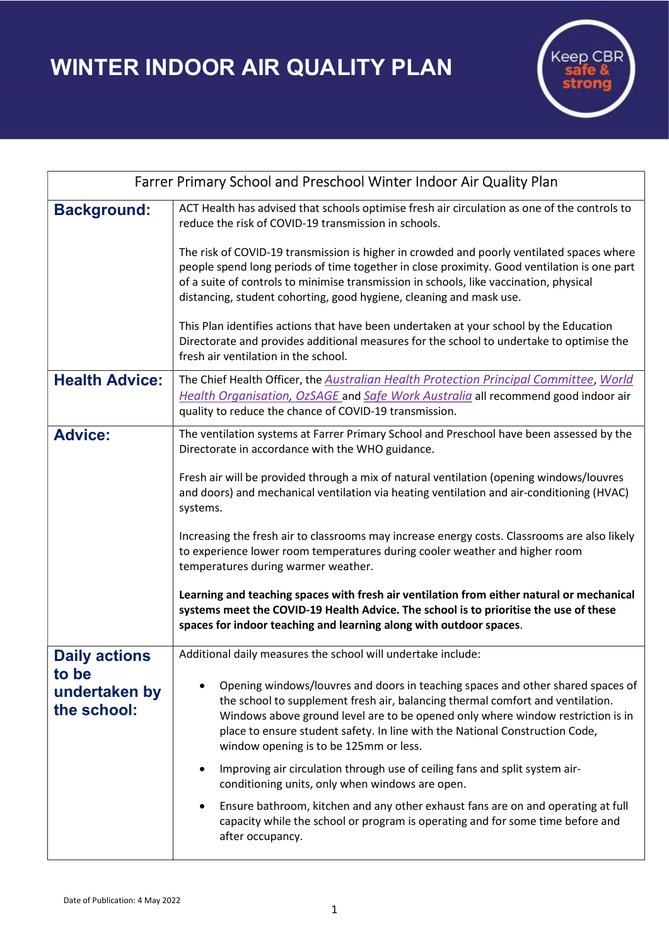WINTER INDOOR AIR QUALITY PLAN



| Farrer Primary School and Preschool Winter Indoor Air Quality Plan |                                                                                                                                                                                                                                                                                                                                                                                |
|--------------------------------------------------------------------|--------------------------------------------------------------------------------------------------------------------------------------------------------------------------------------------------------------------------------------------------------------------------------------------------------------------------------------------------------------------------------|
| <b>Background:</b>                                                 | ACT Health has advised that schools optimise fresh air circulation as one of the controls to<br>reduce the risk of COVID-19 transmission in schools.                                                                                                                                                                                                                           |
|                                                                    | The risk of COVID-19 transmission is higher in crowded and poorly ventilated spaces where<br>people spend long periods of time together in close proximity. Good ventilation is one part<br>of a suite of controls to minimise transmission in schools, like vaccination, physical<br>distancing, student cohorting, good hygiene, cleaning and mask use.                      |
|                                                                    | This Plan identifies actions that have been undertaken at your school by the Education<br>Directorate and provides additional measures for the school to undertake to optimise the<br>fresh air ventilation in the school.                                                                                                                                                     |
| <b>Health Advice:</b>                                              | The Chief Health Officer, the Australian Health Protection Principal Committee, World<br><b>Health Organisation, OzSAGE and Safe Work Australia all recommend good indoor air</b><br>quality to reduce the chance of COVID-19 transmission.                                                                                                                                    |
| <b>Advice:</b>                                                     | The ventilation systems at Farrer Primary School and Preschool have been assessed by the<br>Directorate in accordance with the WHO guidance.<br>Fresh air will be provided through a mix of natural ventilation (opening windows/louvres<br>and doors) and mechanical ventilation via heating ventilation and air-conditioning (HVAC)<br>systems.                              |
|                                                                    | Increasing the fresh air to classrooms may increase energy costs. Classrooms are also likely<br>to experience lower room temperatures during cooler weather and higher room<br>temperatures during warmer weather.                                                                                                                                                             |
|                                                                    | Learning and teaching spaces with fresh air ventilation from either natural or mechanical<br>systems meet the COVID-19 Health Advice. The school is to prioritise the use of these<br>spaces for indoor teaching and learning along with outdoor spaces.                                                                                                                       |
| <b>Daily actions</b><br>to be<br>undertaken by<br>the school:      | Additional daily measures the school will undertake include:                                                                                                                                                                                                                                                                                                                   |
|                                                                    | Opening windows/louvres and doors in teaching spaces and other shared spaces of<br>the school to supplement fresh air, balancing thermal comfort and ventilation.<br>Windows above ground level are to be opened only where window restriction is in<br>place to ensure student safety. In line with the National Construction Code,<br>window opening is to be 125mm or less. |
|                                                                    | Improving air circulation through use of ceiling fans and split system air-<br>٠<br>conditioning units, only when windows are open.                                                                                                                                                                                                                                            |
|                                                                    | Ensure bathroom, kitchen and any other exhaust fans are on and operating at full<br>capacity while the school or program is operating and for some time before and<br>after occupancy.                                                                                                                                                                                         |